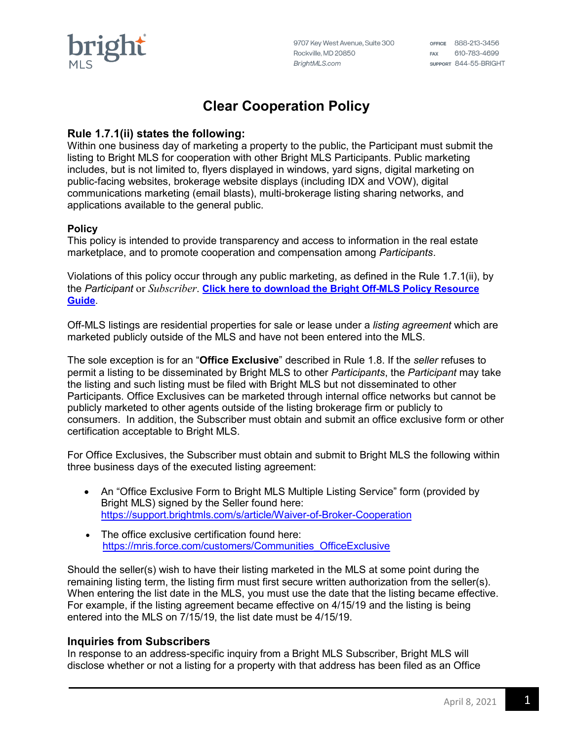9707 Key West Avenue, Suite 300 Rockville, MD 20850 BrightMLS.com

OFFICE 888-213-3456 FAX 610-783-4699 SUPPORT 844-55-BRIGHT

# **Clear Cooperation Policy**

## **Rule 1.7.1(ii) states the following:**

Within one business day of marketing a property to the public, the Participant must submit the listing to Bright MLS for cooperation with other Bright MLS Participants. Public marketing includes, but is not limited to, flyers displayed in windows, yard signs, digital marketing on public-facing websites, brokerage website displays (including IDX and VOW), digital communications marketing (email blasts), multi-brokerage listing sharing networks, and applications available to the general public.

#### **Policy**

This policy is intended to provide transparency and access to information in the real estate marketplace, and to promote cooperation and compensation among *Participants*.

Violations of this policy occur through any public marketing, as defined in the Rule 1.7.1(ii), by the *Participant* or *Subscriber*. **Click here to download the [Bright Off-MLS Policy Resource](http://www.brightmls.com/offmls)  [Guide](http://www.brightmls.com/offmls)**.

Off-MLS listings are residential properties for sale or lease under a *listing agreement* which are marketed publicly outside of the MLS and have not been entered into the MLS.

The sole exception is for an "**Office Exclusive**" described in Rule 1.8. If the *seller* refuses to permit a listing to be disseminated by Bright MLS to other *Participants*, the *Participant* may take the listing and such listing must be filed with Bright MLS but not disseminated to other Participants. Office Exclusives can be marketed through internal office networks but cannot be publicly marketed to other agents outside of the listing brokerage firm or publicly to consumers. In addition, the Subscriber must obtain and submit an office exclusive form or other certification acceptable to Bright MLS.

For Office Exclusives, the Subscriber must obtain and submit to Bright MLS the following within three business days of the executed listing agreement:

- An "Office Exclusive Form to Bright MLS Multiple Listing Service" form (provided by Bright MLS) signed by the Seller found here: <https://support.brightmls.com/s/article/Waiver-of-Broker-Cooperation>
- The office exclusive certification found here: [https://mris.force.com/customers/Communities\\_OfficeExclusive](https://mris.force.com/customers/Communities_OfficeExclusive)

Should the seller(s) wish to have their listing marketed in the MLS at some point during the remaining listing term, the listing firm must first secure written authorization from the seller(s). When entering the list date in the MLS, you must use the date that the listing became effective. For example, if the listing agreement became effective on 4/15/19 and the listing is being entered into the MLS on 7/15/19, the list date must be 4/15/19.

### **Inquiries from Subscribers**

In response to an address-specific inquiry from a Bright MLS Subscriber, Bright MLS will disclose whether or not a listing for a property with that address has been filed as an Office